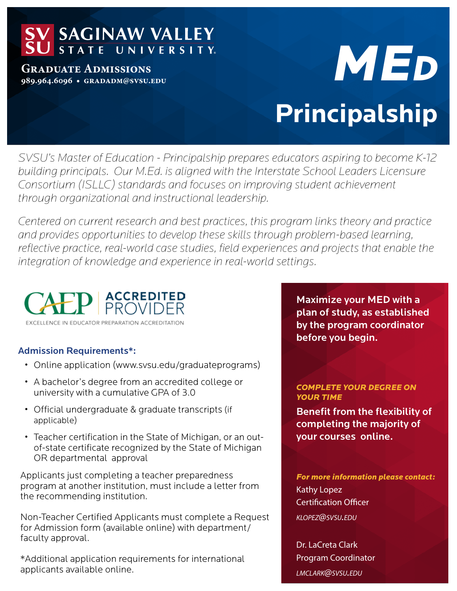## **SAGINAW VALLEY**<br>STATE UNIVERSITY.

**Graduate Admissions 989.964.6096 • gradadm@svsu.edu**

# **Principalship** *ME<sup>d</sup>*

*SVSU's Master of Education - Principalship prepares educators aspiring to become K-12 building principals. Our M.Ed. is aligned with the Interstate School Leaders Licensure Consortium (ISLLC) standards and focuses on improving student achievement through organizational and instructional leadership.* 

*Centered on current research and best practices, this program links theory and practice and provides opportunities to develop these skills through problem-based learning, reflective practice, real-world case studies, field experiences and projects that enable the integration of knowledge and experience in real-world settings.*



#### Admission Requirements\*:

- Online application (www.svsu.edu/graduateprograms)
- A bachelor's degree from an accredited college or university with a cumulative GPA of 3.0
- Official undergraduate & graduate transcripts (if applicable)
- Teacher certification in the State of Michigan, or an outof-state certificate recognized by the State of Michigan OR departmental approval

Applicants just completing a teacher preparedness program at another institution, must include a letter from the recommending institution.

Non-Teacher Certified Applicants must complete a Request for Admission form (available online) with department/ faculty approval.

\*Additional application requirements for international applicants available online.

Maximize your MED with a plan of study, as established by the program coordinator before you begin.

*COMPLETE YOUR DEGREE ON YOUR TIME*

Benefit from the flexibility of completing the majority of your courses online.

*For more information please contact:*  Kathy Lopez Certification Officer *klopez@svsu.edu*

Dr. LaCreta Clark Program Coordinator *lmclark@svsu.edu*